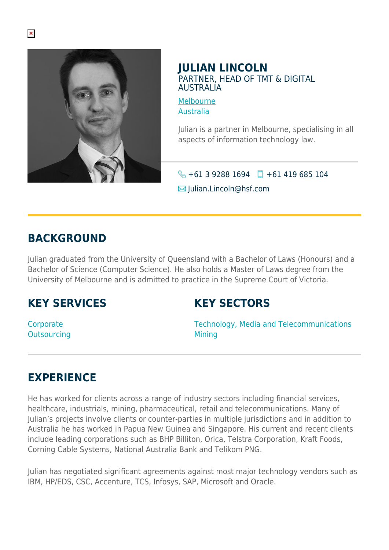

### **JULIAN LINCOLN** PARTNER, HEAD OF TMT & DIGITAL AUSTRALIA

[Melbourne](https://www.herbertsmithfreehills.com/lang-th/where-we-work/melbourne) [Australia](https://www.herbertsmithfreehills.com/lang-th/where-we-work/australia)

Julian is a partner in Melbourne, specialising in all aspects of information technology law.

 $\bigotimes$  +61 3 9288 1694 +61 419 685 104

 $\boxtimes$  Julian.Lincoln@hsf.com

### **BACKGROUND**

Julian graduated from the University of Queensland with a Bachelor of Laws (Honours) and a Bachelor of Science (Computer Science). He also holds a Master of Laws degree from the University of Melbourne and is admitted to practice in the Supreme Court of Victoria.

# **KEY SERVICES**

# **KEY SECTORS**

**Corporate Outsourcing**  Technology, Media and Telecommunications **Mining** 

# **EXPERIENCE**

He has worked for clients across a range of industry sectors including financial services, healthcare, industrials, mining, pharmaceutical, retail and telecommunications. Many of Julian's projects involve clients or counter-parties in multiple jurisdictions and in addition to Australia he has worked in Papua New Guinea and Singapore. His current and recent clients include leading corporations such as BHP Billiton, Orica, Telstra Corporation, Kraft Foods, Corning Cable Systems, National Australia Bank and Telikom PNG.

Julian has negotiated significant agreements against most major technology vendors such as IBM, HP/EDS, CSC, Accenture, TCS, Infosys, SAP, Microsoft and Oracle.